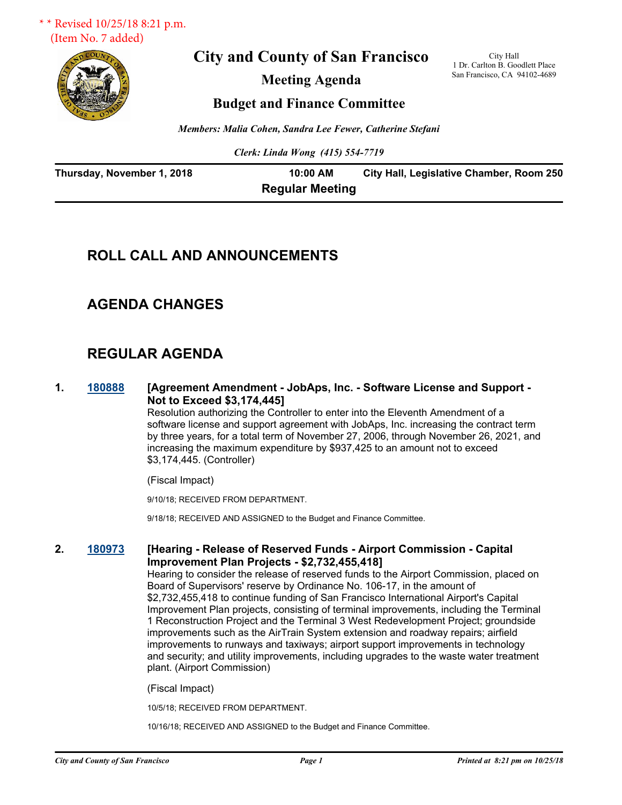

**City and County of San Francisco**

**Meeting Agenda**

City Hall 1 Dr. Carlton B. Goodlett Place San Francisco, CA 94102-4689

**Budget and Finance Committee**

*Members: Malia Cohen, Sandra Lee Fewer, Catherine Stefani*

*Clerk: Linda Wong (415) 554-7719*

| Thursday, November 1, 2018 | 10:00 AM               | City Hall, Legislative Chamber, Room 250 |
|----------------------------|------------------------|------------------------------------------|
|                            | <b>Regular Meeting</b> |                                          |

# **ROLL CALL AND ANNOUNCEMENTS**

# **AGENDA CHANGES**

# **REGULAR AGENDA**

**1. [180888](http://sfgov.legistar.com/gateway.aspx?m=l&id=33757) [Agreement Amendment - JobAps, Inc. - Software License and Support - Not to Exceed \$3,174,445]**

> Resolution authorizing the Controller to enter into the Eleventh Amendment of a software license and support agreement with JobAps, Inc. increasing the contract term by three years, for a total term of November 27, 2006, through November 26, 2021, and increasing the maximum expenditure by \$937,425 to an amount not to exceed \$3,174,445. (Controller)

(Fiscal Impact)

9/10/18; RECEIVED FROM DEPARTMENT.

9/18/18; RECEIVED AND ASSIGNED to the Budget and Finance Committee.

### **2. [180973](http://sfgov.legistar.com/gateway.aspx?m=l&id=33842) [Hearing - Release of Reserved Funds - Airport Commission - Capital Improvement Plan Projects - \$2,732,455,418]**

Hearing to consider the release of reserved funds to the Airport Commission, placed on Board of Supervisors' reserve by Ordinance No. 106-17, in the amount of \$2,732,455,418 to continue funding of San Francisco International Airport's Capital Improvement Plan projects, consisting of terminal improvements, including the Terminal 1 Reconstruction Project and the Terminal 3 West Redevelopment Project; groundside improvements such as the AirTrain System extension and roadway repairs; airfield improvements to runways and taxiways; airport support improvements in technology and security; and utility improvements, including upgrades to the waste water treatment plant. (Airport Commission)

(Fiscal Impact)

10/5/18; RECEIVED FROM DEPARTMENT.

10/16/18; RECEIVED AND ASSIGNED to the Budget and Finance Committee.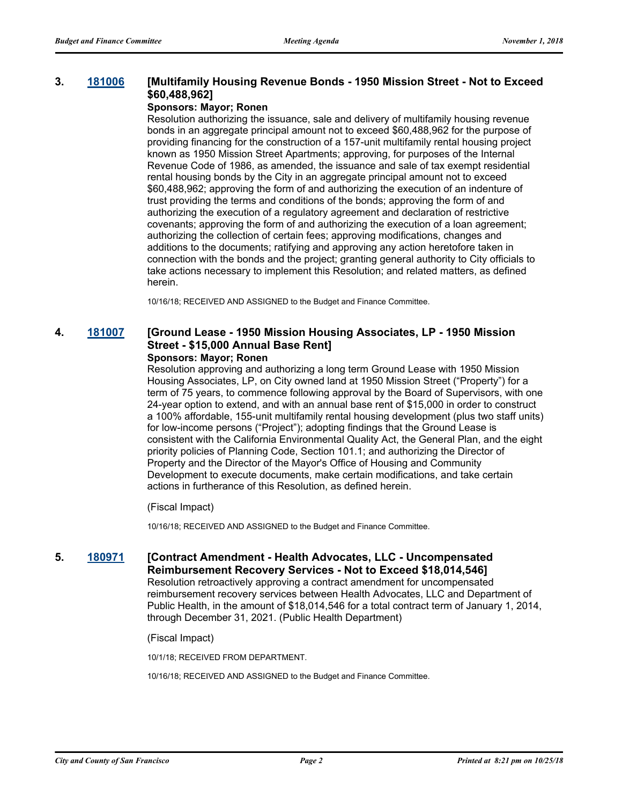### **3. [181006](http://sfgov.legistar.com/gateway.aspx?m=l&id=33875) [Multifamily Housing Revenue Bonds - 1950 Mission Street - Not to Exceed \$60,488,962]**

#### **Sponsors: Mayor; Ronen**

Resolution authorizing the issuance, sale and delivery of multifamily housing revenue bonds in an aggregate principal amount not to exceed \$60,488,962 for the purpose of providing financing for the construction of a 157-unit multifamily rental housing project known as 1950 Mission Street Apartments; approving, for purposes of the Internal Revenue Code of 1986, as amended, the issuance and sale of tax exempt residential rental housing bonds by the City in an aggregate principal amount not to exceed \$60,488,962; approving the form of and authorizing the execution of an indenture of trust providing the terms and conditions of the bonds; approving the form of and authorizing the execution of a regulatory agreement and declaration of restrictive covenants; approving the form of and authorizing the execution of a loan agreement; authorizing the collection of certain fees; approving modifications, changes and additions to the documents; ratifying and approving any action heretofore taken in connection with the bonds and the project; granting general authority to City officials to take actions necessary to implement this Resolution; and related matters, as defined herein.

10/16/18; RECEIVED AND ASSIGNED to the Budget and Finance Committee.

#### **4. [181007](http://sfgov.legistar.com/gateway.aspx?m=l&id=33876) [Ground Lease - 1950 Mission Housing Associates, LP - 1950 Mission Street - \$15,000 Annual Base Rent] Sponsors: Mayor; Ronen**

Resolution approving and authorizing a long term Ground Lease with 1950 Mission Housing Associates, LP, on City owned land at 1950 Mission Street ("Property") for a term of 75 years, to commence following approval by the Board of Supervisors, with one 24-year option to extend, and with an annual base rent of \$15,000 in order to construct a 100% affordable, 155-unit multifamily rental housing development (plus two staff units) for low-income persons ("Project"); adopting findings that the Ground Lease is consistent with the California Environmental Quality Act, the General Plan, and the eight priority policies of Planning Code, Section 101.1; and authorizing the Director of Property and the Director of the Mayor's Office of Housing and Community Development to execute documents, make certain modifications, and take certain actions in furtherance of this Resolution, as defined herein.

(Fiscal Impact)

10/16/18; RECEIVED AND ASSIGNED to the Budget and Finance Committee.

# **5. [180971](http://sfgov.legistar.com/gateway.aspx?m=l&id=33840) [Contract Amendment - Health Advocates, LLC - Uncompensated Reimbursement Recovery Services - Not to Exceed \$18,014,546]**

Resolution retroactively approving a contract amendment for uncompensated reimbursement recovery services between Health Advocates, LLC and Department of Public Health, in the amount of \$18,014,546 for a total contract term of January 1, 2014, through December 31, 2021. (Public Health Department)

(Fiscal Impact)

10/1/18; RECEIVED FROM DEPARTMENT.

10/16/18; RECEIVED AND ASSIGNED to the Budget and Finance Committee.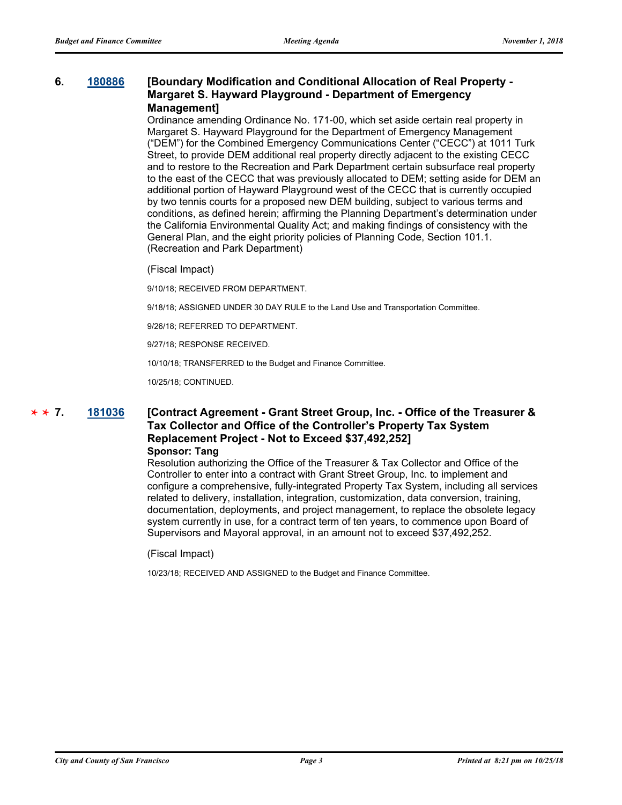#### **6. [180886](http://sfgov.legistar.com/gateway.aspx?m=l&id=33755) [Boundary Modification and Conditional Allocation of Real Property - Margaret S. Hayward Playground - Department of Emergency Management]**

Ordinance amending Ordinance No. 171-00, which set aside certain real property in Margaret S. Hayward Playground for the Department of Emergency Management ("DEM") for the Combined Emergency Communications Center ("CECC") at 1011 Turk Street, to provide DEM additional real property directly adjacent to the existing CECC and to restore to the Recreation and Park Department certain subsurface real property to the east of the CECC that was previously allocated to DEM; setting aside for DEM an additional portion of Hayward Playground west of the CECC that is currently occupied by two tennis courts for a proposed new DEM building, subject to various terms and conditions, as defined herein; affirming the Planning Department's determination under the California Environmental Quality Act; and making findings of consistency with the General Plan, and the eight priority policies of Planning Code, Section 101.1. (Recreation and Park Department)

#### (Fiscal Impact)

9/10/18; RECEIVED FROM DEPARTMENT.

9/18/18; ASSIGNED UNDER 30 DAY RULE to the Land Use and Transportation Committee.

9/26/18; REFERRED TO DEPARTMENT.

9/27/18; RESPONSE RECEIVED.

10/10/18; TRANSFERRED to the Budget and Finance Committee.

10/25/18; CONTINUED.

#### **7. [181036](http://sfgov.legistar.com/gateway.aspx?m=l&id=33905) [Contract Agreement - Grant Street Group, Inc. - Office of the Treasurer & Tax Collector and Office of the Controller's Property Tax System Replacement Project - Not to Exceed \$37,492,252] Sponsor: Tang**  $*$  **7**.

Resolution authorizing the Office of the Treasurer & Tax Collector and Office of the Controller to enter into a contract with Grant Street Group, Inc. to implement and configure a comprehensive, fully-integrated Property Tax System, including all services related to delivery, installation, integration, customization, data conversion, training, documentation, deployments, and project management, to replace the obsolete legacy system currently in use, for a contract term of ten years, to commence upon Board of Supervisors and Mayoral approval, in an amount not to exceed \$37,492,252.

(Fiscal Impact)

10/23/18; RECEIVED AND ASSIGNED to the Budget and Finance Committee.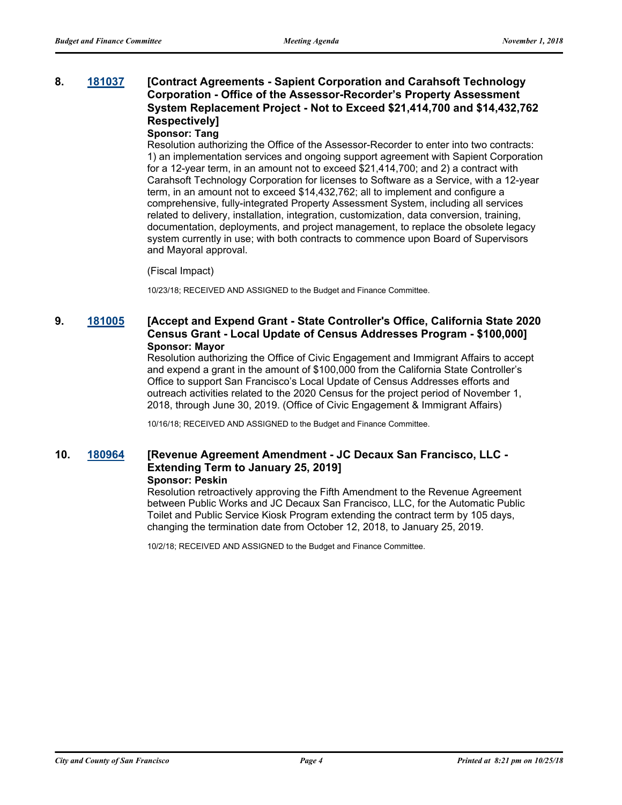# **8. [181037](http://sfgov.legistar.com/gateway.aspx?m=l&id=33906) [Contract Agreements - Sapient Corporation and Carahsoft Technology Corporation - Office of the Assessor-Recorder's Property Assessment System Replacement Project - Not to Exceed \$21,414,700 and \$14,432,762 Respectively]**

#### **Sponsor: Tang**

Resolution authorizing the Office of the Assessor-Recorder to enter into two contracts: 1) an implementation services and ongoing support agreement with Sapient Corporation for a 12-year term, in an amount not to exceed \$21,414,700; and 2) a contract with Carahsoft Technology Corporation for licenses to Software as a Service, with a 12-year term, in an amount not to exceed \$14,432,762; all to implement and configure a comprehensive, fully-integrated Property Assessment System, including all services related to delivery, installation, integration, customization, data conversion, training, documentation, deployments, and project management, to replace the obsolete legacy system currently in use; with both contracts to commence upon Board of Supervisors and Mayoral approval.

#### (Fiscal Impact)

10/23/18; RECEIVED AND ASSIGNED to the Budget and Finance Committee.

# **9. [181005](http://sfgov.legistar.com/gateway.aspx?m=l&id=33874) [Accept and Expend Grant - State Controller's Office, California State 2020 Census Grant - Local Update of Census Addresses Program - \$100,000] Sponsor: Mayor**

Resolution authorizing the Office of Civic Engagement and Immigrant Affairs to accept and expend a grant in the amount of \$100,000 from the California State Controller's Office to support San Francisco's Local Update of Census Addresses efforts and outreach activities related to the 2020 Census for the project period of November 1, 2018, through June 30, 2019. (Office of Civic Engagement & Immigrant Affairs)

10/16/18; RECEIVED AND ASSIGNED to the Budget and Finance Committee.

#### **10. [180964](http://sfgov.legistar.com/gateway.aspx?m=l&id=33833) [Revenue Agreement Amendment - JC Decaux San Francisco, LLC - Extending Term to January 25, 2019] Sponsor: Peskin**

Resolution retroactively approving the Fifth Amendment to the Revenue Agreement between Public Works and JC Decaux San Francisco, LLC, for the Automatic Public Toilet and Public Service Kiosk Program extending the contract term by 105 days, changing the termination date from October 12, 2018, to January 25, 2019.

10/2/18; RECEIVED AND ASSIGNED to the Budget and Finance Committee.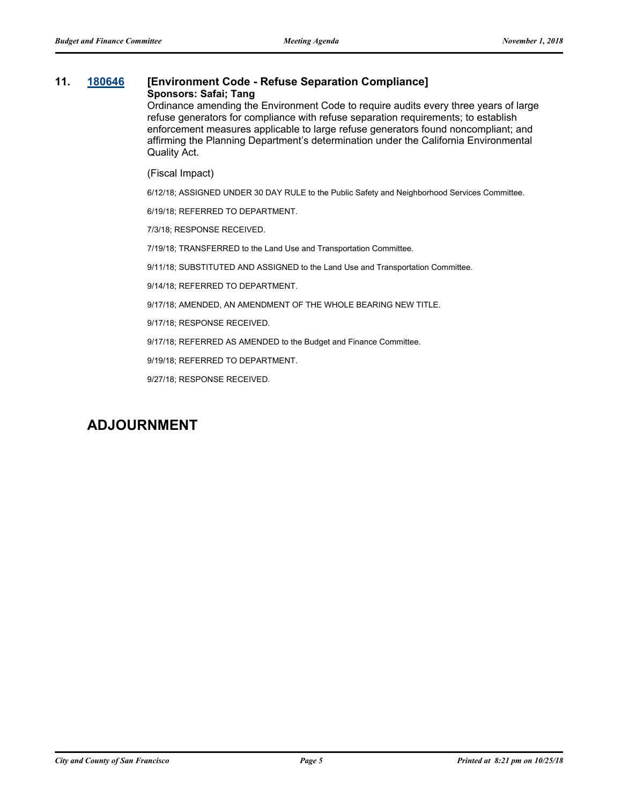#### **11. [180646](http://sfgov.legistar.com/gateway.aspx?m=l&id=33515) [Environment Code - Refuse Separation Compliance] Sponsors: Safai; Tang**

Ordinance amending the Environment Code to require audits every three years of large refuse generators for compliance with refuse separation requirements; to establish enforcement measures applicable to large refuse generators found noncompliant; and affirming the Planning Department's determination under the California Environmental Quality Act.

(Fiscal Impact)

6/12/18; ASSIGNED UNDER 30 DAY RULE to the Public Safety and Neighborhood Services Committee.

6/19/18; REFERRED TO DEPARTMENT.

7/3/18; RESPONSE RECEIVED.

7/19/18; TRANSFERRED to the Land Use and Transportation Committee.

9/11/18; SUBSTITUTED AND ASSIGNED to the Land Use and Transportation Committee.

9/14/18; REFERRED TO DEPARTMENT.

9/17/18; AMENDED, AN AMENDMENT OF THE WHOLE BEARING NEW TITLE.

9/17/18; RESPONSE RECEIVED.

9/17/18; REFERRED AS AMENDED to the Budget and Finance Committee.

9/19/18; REFERRED TO DEPARTMENT.

9/27/18; RESPONSE RECEIVED.

# **ADJOURNMENT**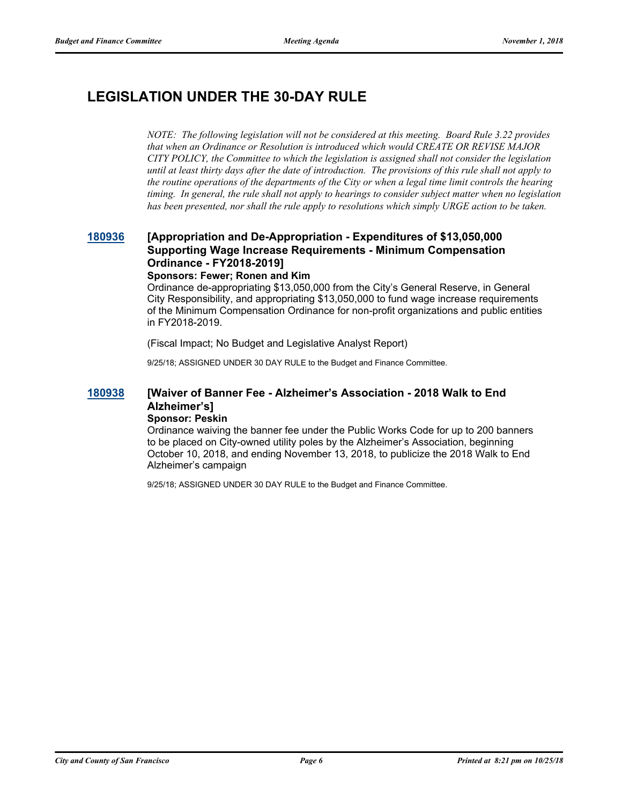# **LEGISLATION UNDER THE 30-DAY RULE**

*NOTE: The following legislation will not be considered at this meeting. Board Rule 3.22 provides that when an Ordinance or Resolution is introduced which would CREATE OR REVISE MAJOR CITY POLICY, the Committee to which the legislation is assigned shall not consider the legislation until at least thirty days after the date of introduction. The provisions of this rule shall not apply to the routine operations of the departments of the City or when a legal time limit controls the hearing timing. In general, the rule shall not apply to hearings to consider subject matter when no legislation has been presented, nor shall the rule apply to resolutions which simply URGE action to be taken.*

# **[180936](http://sfgov.legistar.com/gateway.aspx?m=l&id=33805) [Appropriation and De-Appropriation - Expenditures of \$13,050,000 Supporting Wage Increase Requirements - Minimum Compensation Ordinance - FY2018-2019]**

#### **Sponsors: Fewer; Ronen and Kim**

Ordinance de-appropriating \$13,050,000 from the City's General Reserve, in General City Responsibility, and appropriating \$13,050,000 to fund wage increase requirements of the Minimum Compensation Ordinance for non-profit organizations and public entities in FY2018-2019.

(Fiscal Impact; No Budget and Legislative Analyst Report)

9/25/18; ASSIGNED UNDER 30 DAY RULE to the Budget and Finance Committee.

#### **[180938](http://sfgov.legistar.com/gateway.aspx?m=l&id=33807) [Waiver of Banner Fee - Alzheimer's Association - 2018 Walk to End Alzheimer's] Sponsor: Peskin**

Ordinance waiving the banner fee under the Public Works Code for up to 200 banners to be placed on City-owned utility poles by the Alzheimer's Association, beginning October 10, 2018, and ending November 13, 2018, to publicize the 2018 Walk to End Alzheimer's campaign

9/25/18; ASSIGNED UNDER 30 DAY RULE to the Budget and Finance Committee.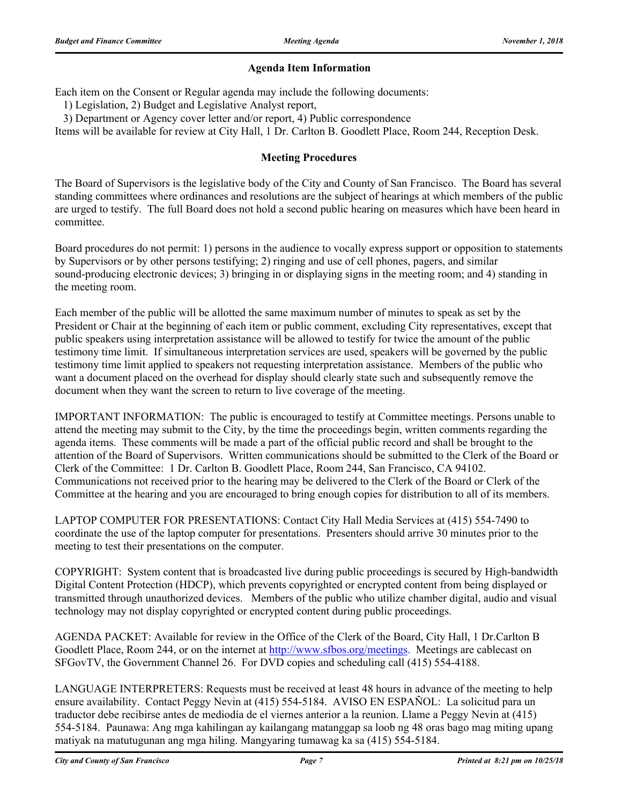## **Agenda Item Information**

Each item on the Consent or Regular agenda may include the following documents:

1) Legislation, 2) Budget and Legislative Analyst report,

3) Department or Agency cover letter and/or report, 4) Public correspondence

Items will be available for review at City Hall, 1 Dr. Carlton B. Goodlett Place, Room 244, Reception Desk.

### **Meeting Procedures**

The Board of Supervisors is the legislative body of the City and County of San Francisco. The Board has several standing committees where ordinances and resolutions are the subject of hearings at which members of the public are urged to testify. The full Board does not hold a second public hearing on measures which have been heard in committee.

Board procedures do not permit: 1) persons in the audience to vocally express support or opposition to statements by Supervisors or by other persons testifying; 2) ringing and use of cell phones, pagers, and similar sound-producing electronic devices; 3) bringing in or displaying signs in the meeting room; and 4) standing in the meeting room.

Each member of the public will be allotted the same maximum number of minutes to speak as set by the President or Chair at the beginning of each item or public comment, excluding City representatives, except that public speakers using interpretation assistance will be allowed to testify for twice the amount of the public testimony time limit. If simultaneous interpretation services are used, speakers will be governed by the public testimony time limit applied to speakers not requesting interpretation assistance. Members of the public who want a document placed on the overhead for display should clearly state such and subsequently remove the document when they want the screen to return to live coverage of the meeting.

IMPORTANT INFORMATION: The public is encouraged to testify at Committee meetings. Persons unable to attend the meeting may submit to the City, by the time the proceedings begin, written comments regarding the agenda items. These comments will be made a part of the official public record and shall be brought to the attention of the Board of Supervisors. Written communications should be submitted to the Clerk of the Board or Clerk of the Committee: 1 Dr. Carlton B. Goodlett Place, Room 244, San Francisco, CA 94102. Communications not received prior to the hearing may be delivered to the Clerk of the Board or Clerk of the Committee at the hearing and you are encouraged to bring enough copies for distribution to all of its members.

LAPTOP COMPUTER FOR PRESENTATIONS: Contact City Hall Media Services at (415) 554-7490 to coordinate the use of the laptop computer for presentations. Presenters should arrive 30 minutes prior to the meeting to test their presentations on the computer.

COPYRIGHT: System content that is broadcasted live during public proceedings is secured by High-bandwidth Digital Content Protection (HDCP), which prevents copyrighted or encrypted content from being displayed or transmitted through unauthorized devices. Members of the public who utilize chamber digital, audio and visual technology may not display copyrighted or encrypted content during public proceedings.

AGENDA PACKET: Available for review in the Office of the Clerk of the Board, City Hall, 1 Dr.Carlton B Goodlett Place, Room 244, or on the internet at http://www.sfbos.org/meetings. Meetings are cablecast on SFGovTV, the Government Channel 26. For DVD copies and scheduling call (415) 554-4188.

LANGUAGE INTERPRETERS: Requests must be received at least 48 hours in advance of the meeting to help ensure availability. Contact Peggy Nevin at (415) 554-5184. AVISO EN ESPAÑOL: La solicitud para un traductor debe recibirse antes de mediodía de el viernes anterior a la reunion. Llame a Peggy Nevin at (415) 554-5184. Paunawa: Ang mga kahilingan ay kailangang matanggap sa loob ng 48 oras bago mag miting upang matiyak na matutugunan ang mga hiling. Mangyaring tumawag ka sa (415) 554-5184.